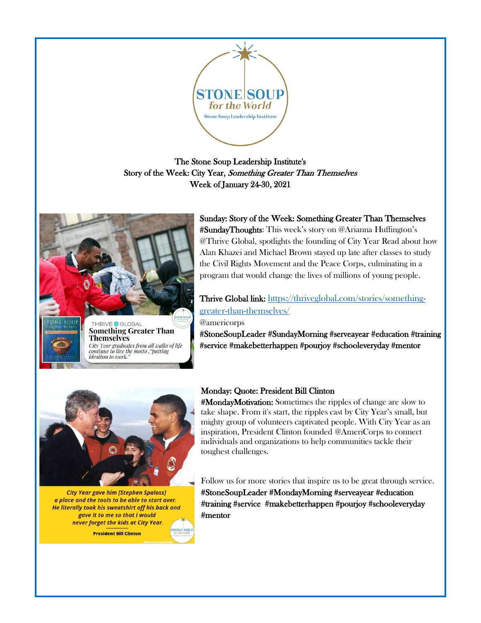

# The Stone Soup Leadership Institute's Story of the Week: City Year, Something Greater Than Themselves Week of January 24-30, 2021



continue to live the motto , "putting

idealism to work.

Sunday: Story of the Week: Something Greater Than Themselves #SundayThoughts: This week's story on @Arianna Huffington's @Thrive Global, spotlights the founding of City Year Read about how Alan Khazei and Michael Brown stayed up late after classes to study the Civil Rights Movement and the Peace Corps, culminating in a program that would change the lives of millions of young people.

# Thrive Global link: [https://thriveglobal.com/stories/something](https://thriveglobal.com/stories/something-greater-than-themselves/)[greater-than-themselves/](https://thriveglobal.com/stories/something-greater-than-themselves/)

### @americorps

#StoneSoupLeader #SundayMorning #serveayear #education #training #service #makebetterhappen #pourjoy #schooleveryday #mentor



**City Year gave him [Stephen Spaloss]** a place and the tools to be able to start over. He literally took his sweatshirt off his back and gave it to me so that I would never forget the kids at City Year. **President Bill Clinton** 

# Monday: Quote: President Bill Clinton

#MondayMotivation: Sometimes the ripples of change are slow to take shape. From it's start, the ripples cast by City Year's small, but mighty group of volunteers captivated people. With City Year as an inspiration, President Clinton founded @AmeriCorps to connect individuals and organizations to help communities tackle their toughest challenges.

Follow us for more stories that inspire us to be great through service. #StoneSoupLeader #MondayMorning #serveayear #education #training #service #makebetterhappen #pourjoy #schooleveryday #mentor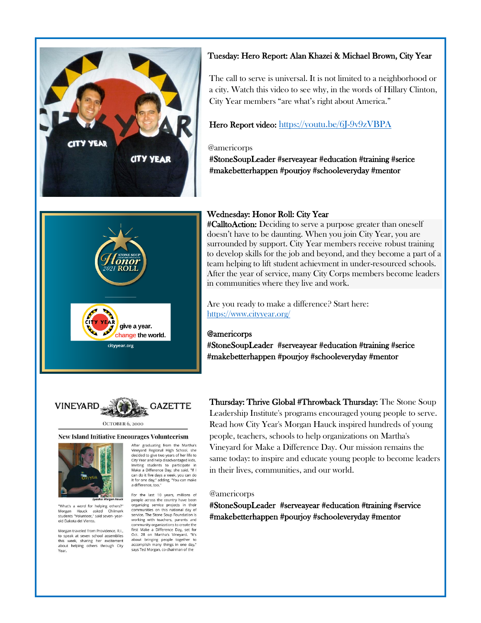

### Tuesday: Hero Report: Alan Khazei & Michael Brown, City Year

The call to serve is universal. It is not limited to a neighborhood or a city. Watch this video to see why, in the words of Hillary Clinton, City Year members "are what's right about America."

### Hero Report video: <https://youtu.be/6J-9v9zVBPA>

### @americorps

#StoneSoupLeader #serveayear #education #training #serice #makebetterhappen #pourjoy #schooleveryday #mentor



### Wednesday: Honor Roll: City Year

#CalltoAction: Deciding to serve a purpose greater than oneself doesn't have to be daunting. When you join City Year, you are surrounded by support. City Year members receive robust training to develop skills for the job and beyond, and they become a part of a team helping to lift student achievment in under-resourced schools. After the year of service, many City Corps members become leaders in communities where they live and work.

Are you ready to make a difference? Start here: <https://www.cityyear.org/>

### @americorps

#StoneSoupLeader #serveayear #education #training #serice #makebetterhappen #pourjoy #schooleveryday #mentor



#### OCTOBER 6, 2000

#### **New Island Initiative Encourages Volunteerism**



word for helping others?"<br>Hauck asked Chilmark "What's a Morgan Hauck asked Chilmark<br>students "Volunteer," said seven- yearold Dakota del Viento

Morgan traveled from Providence, R.I., to speak at seven school assemblies<br>this week, sharing her excitement about helping others through City

After graduating from the Martha's Vineyard Regional High School, she<br>decided to give two years of her life to City Year and help disadvantaged kids. Inviting students to participate in<br>Make a Difference Day, she said, "If I can do it five days a week, you can do tan as it me day," adding, "You can make a difference, too."

For the last 10 years, millions of

people across the country have been organizing service projects in their communities on this national day of service. The Stone Soup Foundation is working with teachers, parents and community organizations to create the first Make a Difference Day, set for<br>Oct. 28 on Martha's Vineyard. "It's about bringing people together to<br>accomplish many things in one day," says Ted Morgan, co-chairman of the

Thursday: Thrive Global #Throwback Thursday: The Stone Soup Leadership Institute's programs encouraged young people to serve. Read how City Year's Morgan Hauck inspired hundreds of young people, teachers, schools to help organizations on Martha's Vineyard for Make a Difference Day. Our mission remains the same today: to inspire and educate young people to become leaders in their lives, communities, and our world.

### @americorps

#StoneSoupLeader #serveayear #education #training #service #makebetterhappen #pourjoy #schooleveryday #mentor